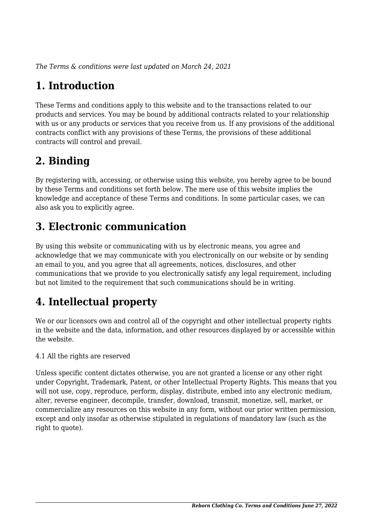*The Terms & conditions were last updated on March 24, 2021*

# **1. Introduction**

These Terms and conditions apply to this website and to the transactions related to our products and services. You may be bound by additional contracts related to your relationship with us or any products or services that you receive from us. If any provisions of the additional contracts conflict with any provisions of these Terms, the provisions of these additional contracts will control and prevail.

## **2. Binding**

By registering with, accessing, or otherwise using this website, you hereby agree to be bound by these Terms and conditions set forth below. The mere use of this website implies the knowledge and acceptance of these Terms and conditions. In some particular cases, we can also ask you to explicitly agree.

## **3. Electronic communication**

By using this website or communicating with us by electronic means, you agree and acknowledge that we may communicate with you electronically on our website or by sending an email to you, and you agree that all agreements, notices, disclosures, and other communications that we provide to you electronically satisfy any legal requirement, including but not limited to the requirement that such communications should be in writing.

# **4. Intellectual property**

We or our licensors own and control all of the copyright and other intellectual property rights in the website and the data, information, and other resources displayed by or accessible within the website.

4.1 All the rights are reserved

Unless specific content dictates otherwise, you are not granted a license or any other right under Copyright, Trademark, Patent, or other Intellectual Property Rights. This means that you will not use, copy, reproduce, perform, display, distribute, embed into any electronic medium, alter, reverse engineer, decompile, transfer, download, transmit, monetize, sell, market, or commercialize any resources on this website in any form, without our prior written permission, except and only insofar as otherwise stipulated in regulations of mandatory law (such as the right to quote).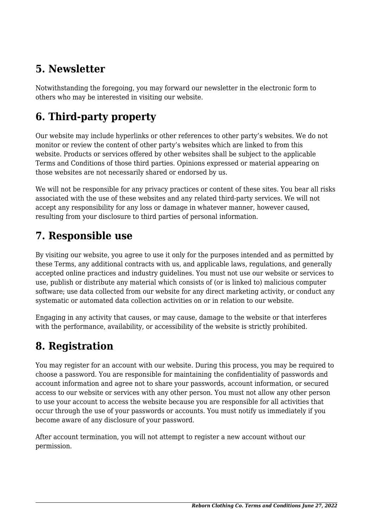## **5. Newsletter**

Notwithstanding the foregoing, you may forward our newsletter in the electronic form to others who may be interested in visiting our website.

# **6. Third-party property**

Our website may include hyperlinks or other references to other party's websites. We do not monitor or review the content of other party's websites which are linked to from this website. Products or services offered by other websites shall be subject to the applicable Terms and Conditions of those third parties. Opinions expressed or material appearing on those websites are not necessarily shared or endorsed by us.

We will not be responsible for any privacy practices or content of these sites. You bear all risks associated with the use of these websites and any related third-party services. We will not accept any responsibility for any loss or damage in whatever manner, however caused, resulting from your disclosure to third parties of personal information.

#### **7. Responsible use**

By visiting our website, you agree to use it only for the purposes intended and as permitted by these Terms, any additional contracts with us, and applicable laws, regulations, and generally accepted online practices and industry guidelines. You must not use our website or services to use, publish or distribute any material which consists of (or is linked to) malicious computer software; use data collected from our website for any direct marketing activity, or conduct any systematic or automated data collection activities on or in relation to our website.

Engaging in any activity that causes, or may cause, damage to the website or that interferes with the performance, availability, or accessibility of the website is strictly prohibited.

## **8. Registration**

You may register for an account with our website. During this process, you may be required to choose a password. You are responsible for maintaining the confidentiality of passwords and account information and agree not to share your passwords, account information, or secured access to our website or services with any other person. You must not allow any other person to use your account to access the website because you are responsible for all activities that occur through the use of your passwords or accounts. You must notify us immediately if you become aware of any disclosure of your password.

After account termination, you will not attempt to register a new account without our permission.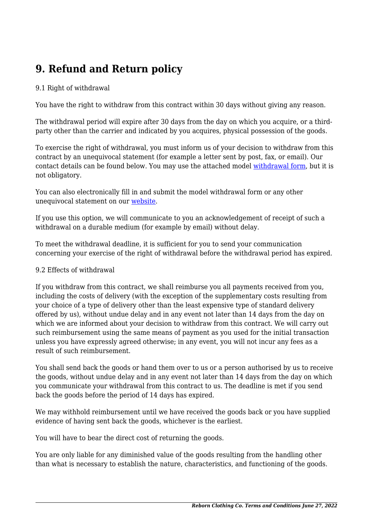## **9. Refund and Return policy**

#### 9.1 Right of withdrawal

You have the right to withdraw from this contract within 30 days without giving any reason.

The withdrawal period will expire after 30 days from the day on which you acquire, or a thirdparty other than the carrier and indicated by you acquires, physical possession of the goods.

To exercise the right of withdrawal, you must inform us of your decision to withdraw from this contract by an unequivocal statement (for example a letter sent by post, fax, or email). Our contact details can be found below. You may use the attached model [withdrawal form](https://rebornclothing.co/app/uploads/complianz/withdrawal-forms/withdrawal-form-en.pdf), but it is not obligatory.

You can also electronically fill in and submit the model withdrawal form or any other unequivocal statement on our [website](https://rebornclothing.co/contact/).

If you use this option, we will communicate to you an acknowledgement of receipt of such a withdrawal on a durable medium (for example by email) without delay.

To meet the withdrawal deadline, it is sufficient for you to send your communication concerning your exercise of the right of withdrawal before the withdrawal period has expired.

#### 9.2 Effects of withdrawal

If you withdraw from this contract, we shall reimburse you all payments received from you, including the costs of delivery (with the exception of the supplementary costs resulting from your choice of a type of delivery other than the least expensive type of standard delivery offered by us), without undue delay and in any event not later than 14 days from the day on which we are informed about your decision to withdraw from this contract. We will carry out such reimbursement using the same means of payment as you used for the initial transaction unless you have expressly agreed otherwise; in any event, you will not incur any fees as a result of such reimbursement.

You shall send back the goods or hand them over to us or a person authorised by us to receive the goods, without undue delay and in any event not later than 14 days from the day on which you communicate your withdrawal from this contract to us. The deadline is met if you send back the goods before the period of 14 days has expired.

We may withhold reimbursement until we have received the goods back or you have supplied evidence of having sent back the goods, whichever is the earliest.

You will have to bear the direct cost of returning the goods.

You are only liable for any diminished value of the goods resulting from the handling other than what is necessary to establish the nature, characteristics, and functioning of the goods.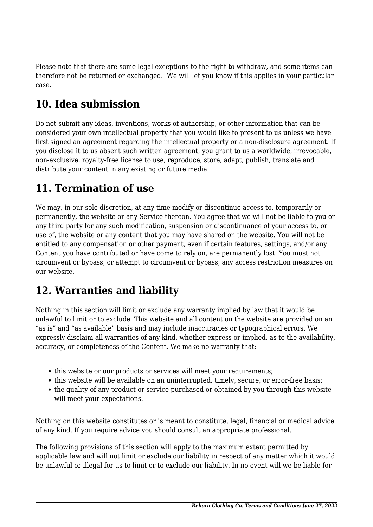Please note that there are some legal exceptions to the right to withdraw, and some items can therefore not be returned or exchanged. We will let you know if this applies in your particular case.

## **10. Idea submission**

Do not submit any ideas, inventions, works of authorship, or other information that can be considered your own intellectual property that you would like to present to us unless we have first signed an agreement regarding the intellectual property or a non-disclosure agreement. If you disclose it to us absent such written agreement, you grant to us a worldwide, irrevocable, non-exclusive, royalty-free license to use, reproduce, store, adapt, publish, translate and distribute your content in any existing or future media.

#### **11. Termination of use**

We may, in our sole discretion, at any time modify or discontinue access to, temporarily or permanently, the website or any Service thereon. You agree that we will not be liable to you or any third party for any such modification, suspension or discontinuance of your access to, or use of, the website or any content that you may have shared on the website. You will not be entitled to any compensation or other payment, even if certain features, settings, and/or any Content you have contributed or have come to rely on, are permanently lost. You must not circumvent or bypass, or attempt to circumvent or bypass, any access restriction measures on our website.

#### **12. Warranties and liability**

Nothing in this section will limit or exclude any warranty implied by law that it would be unlawful to limit or to exclude. This website and all content on the website are provided on an "as is" and "as available" basis and may include inaccuracies or typographical errors. We expressly disclaim all warranties of any kind, whether express or implied, as to the availability, accuracy, or completeness of the Content. We make no warranty that:

- this website or our products or services will meet your requirements;
- this website will be available on an uninterrupted, timely, secure, or error-free basis;
- the quality of any product or service purchased or obtained by you through this website will meet your expectations.

Nothing on this website constitutes or is meant to constitute, legal, financial or medical advice of any kind. If you require advice you should consult an appropriate professional.

The following provisions of this section will apply to the maximum extent permitted by applicable law and will not limit or exclude our liability in respect of any matter which it would be unlawful or illegal for us to limit or to exclude our liability. In no event will we be liable for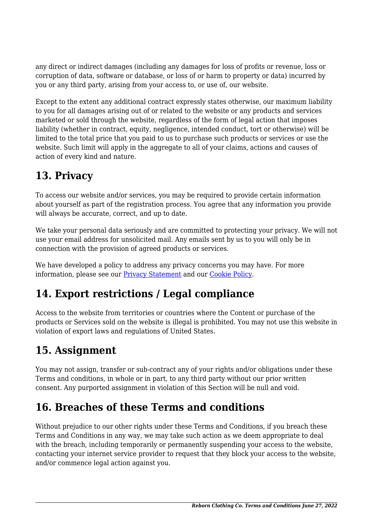any direct or indirect damages (including any damages for loss of profits or revenue, loss or corruption of data, software or database, or loss of or harm to property or data) incurred by you or any third party, arising from your access to, or use of, our website.

Except to the extent any additional contract expressly states otherwise, our maximum liability to you for all damages arising out of or related to the website or any products and services marketed or sold through the website, regardless of the form of legal action that imposes liability (whether in contract, equity, negligence, intended conduct, tort or otherwise) will be limited to the total price that you paid to us to purchase such products or services or use the website. Such limit will apply in the aggregate to all of your claims, actions and causes of action of every kind and nature.

#### **13. Privacy**

To access our website and/or services, you may be required to provide certain information about yourself as part of the registration process. You agree that any information you provide will always be accurate, correct, and up to date.

We take your personal data seriously and are committed to protecting your privacy. We will not use your email address for unsolicited mail. Any emails sent by us to you will only be in connection with the provision of agreed products or services.

We have developed a policy to address any privacy concerns you may have. For more information, please see our **Privacy Statement** and our [Cookie Policy](https://rebornclothing.co/cookies/).

# **14. Export restrictions / Legal compliance**

Access to the website from territories or countries where the Content or purchase of the products or Services sold on the website is illegal is prohibited. You may not use this website in violation of export laws and regulations of United States.

# **15. Assignment**

You may not assign, transfer or sub-contract any of your rights and/or obligations under these Terms and conditions, in whole or in part, to any third party without our prior written consent. Any purported assignment in violation of this Section will be null and void.

## **16. Breaches of these Terms and conditions**

Without prejudice to our other rights under these Terms and Conditions, if you breach these Terms and Conditions in any way, we may take such action as we deem appropriate to deal with the breach, including temporarily or permanently suspending your access to the website, contacting your internet service provider to request that they block your access to the website, and/or commence legal action against you.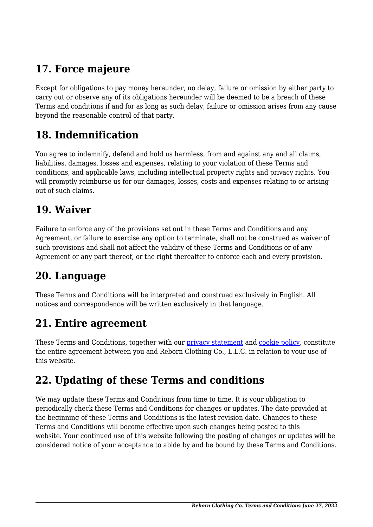## **17. Force majeure**

Except for obligations to pay money hereunder, no delay, failure or omission by either party to carry out or observe any of its obligations hereunder will be deemed to be a breach of these Terms and conditions if and for as long as such delay, failure or omission arises from any cause beyond the reasonable control of that party.

#### **18. Indemnification**

You agree to indemnify, defend and hold us harmless, from and against any and all claims, liabilities, damages, losses and expenses, relating to your violation of these Terms and conditions, and applicable laws, including intellectual property rights and privacy rights. You will promptly reimburse us for our damages, losses, costs and expenses relating to or arising out of such claims.

#### **19. Waiver**

Failure to enforce any of the provisions set out in these Terms and Conditions and any Agreement, or failure to exercise any option to terminate, shall not be construed as waiver of such provisions and shall not affect the validity of these Terms and Conditions or of any Agreement or any part thereof, or the right thereafter to enforce each and every provision.

#### **20. Language**

These Terms and Conditions will be interpreted and construed exclusively in English. All notices and correspondence will be written exclusively in that language.

#### **21. Entire agreement**

These Terms and Conditions, together with our [privacy statement](https://rebornclothing.co/privacy/) and [cookie policy,](https://rebornclothing.co/cookies/) constitute the entire agreement between you and Reborn Clothing Co., L.L.C. in relation to your use of this website.

#### **22. Updating of these Terms and conditions**

We may update these Terms and Conditions from time to time. It is your obligation to periodically check these Terms and Conditions for changes or updates. The date provided at the beginning of these Terms and Conditions is the latest revision date. Changes to these Terms and Conditions will become effective upon such changes being posted to this website. Your continued use of this website following the posting of changes or updates will be considered notice of your acceptance to abide by and be bound by these Terms and Conditions.